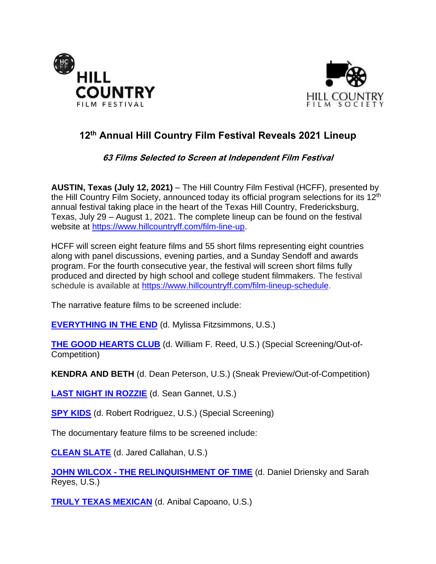



# **12 th Annual Hill Country Film Festival Reveals 2021 Lineup**

# **63 Films Selected to Screen at Independent Film Festival**

**AUSTIN, Texas (July 12, 2021)** – The Hill Country Film Festival (HCFF), presented by the Hill Country Film Society, announced today its official program selections for its 12<sup>th</sup> annual festival taking place in the heart of the Texas Hill Country, Fredericksburg, Texas, July 29 – August 1, 2021. The complete lineup can be found on the festival website at [https://www.hillcountryff.com/film-line-up.](https://www.hillcountryff.com/film-line-up)

HCFF will screen eight feature films and 55 short films representing eight countries along with panel discussions, evening parties, and a Sunday Sendoff and awards program. For the fourth consecutive year, the festival will screen short films fully produced and directed by high school and college student filmmakers. The festival schedule is available at [https://www.hillcountryff.com/film-lineup-schedule.](https://www.hillcountryff.com/film-lineup-schedule)

The narrative feature films to be screened include:

**[EVERYTHING IN THE END](https://www.imdb.com/title/tt11131918/?ref_=fn_al_tt_1)** (d. Mylissa Fitzsimmons, U.S.)

**[THE GOOD HEARTS CLUB](https://www.imdb.com/title/tt13663280/?ref_=nv_sr_srsg_0)** (d. William F. Reed, U.S.) (Special Screening/Out-of-Competition)

**KENDRA AND BETH** (d. Dean Peterson, U.S.) (Sneak Preview/Out-of-Competition)

**[LAST NIGHT IN ROZZIE](https://www.imdb.com/title/tt9363502/?ref_=fn_al_tt_1)** (d. Sean Gannet, U.S.)

**[SPY KIDS](https://www.imdb.com/title/tt0227538/?ref_=fn_al_tt_1)** (d. Robert Rodriguez, U.S.) (Special Screening)

The documentary feature films to be screened include:

**[CLEAN SLATE](https://www.imdb.com/title/tt7116882/?ref_=nm_flmg_prd_1)** (d. Jared Callahan, U.S.)

**JOHN WILCOX - [THE RELINQUISHMENT OF TIME](http://www.imdb.com/title/tt14948750/?ref_=nm_knf_t1)** (d. Daniel Driensky and Sarah Reyes, U.S.)

**[TRULY TEXAS MEXICAN](https://www.imdb.com/title/tt13932972/?ref_=nv_sr_srsg_0)** (d. Anibal Capoano, U.S.)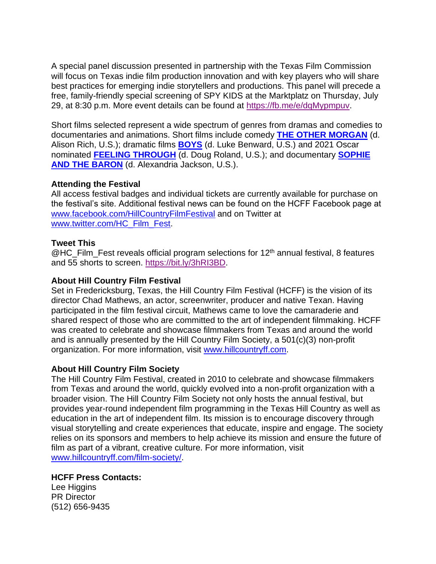A special panel discussion presented in partnership with the Texas Film Commission will focus on Texas indie film production innovation and with key players who will share best practices for emerging indie storytellers and productions. This panel will precede a free, family-friendly special screening of SPY KIDS at the Marktplatz on Thursday, July 29, at 8:30 p.m. More event details can be found at [https://fb.me/e/dqMypmpuv.](https://fb.me/e/dqMypmpuv)

Short films selected represent a wide spectrum of genres from dramas and comedies to documentaries and animations. Short films include comedy **[THE OTHER MORGAN](https://www.imdb.com/title/tt11865964/?ref_=fn_al_tt_1)** (d. Alison Rich, U.S.); dramatic films **[BOYS](https://www.imdb.com/title/tt13699182/?ref_=nm_flmg_dr_1)** (d. Luke Benward, U.S.) and 2021 Oscar nominated **[FEELING THROUGH](https://www.imdb.com/title/tt9280166/?ref_=fn_al_tt_1)** (d. Doug Roland, U.S.); and documentary **[SOPHIE](https://www.imdb.com/title/tt13084870/?ref_=fn_al_tt_1)  [AND THE BARON](https://www.imdb.com/title/tt13084870/?ref_=fn_al_tt_1)** (d. Alexandria Jackson, U.S.).

#### **Attending the Festival**

All access festival badges and individual tickets are currently available for purchase on the festival's site. Additional festival news can be found on the HCFF Facebook page at [www.facebook.com/HillCountryFilmFestival](http://www.facebook.com/HillCountryFilmFestival) and on Twitter at [www.twitter.com/HC\\_Film\\_Fest.](http://www.twitter.com/HC_Film_Fest)

#### **Tweet This**

 $@$  HC\_Film\_Fest reveals official program selections for 12<sup>th</sup> annual festival, 8 features and 55 shorts to screen. [https://bit.ly/3hRI3BD.](https://bit.ly/3hRI3BD)

#### **About Hill Country Film Festival**

Set in Fredericksburg, Texas, the Hill Country Film Festival (HCFF) is the vision of its director Chad Mathews, an actor, screenwriter, producer and native Texan. Having participated in the film festival circuit, Mathews came to love the camaraderie and shared respect of those who are committed to the art of independent filmmaking. HCFF was created to celebrate and showcase filmmakers from Texas and around the world and is annually presented by the Hill Country Film Society, a 501(c)(3) non-profit organization. For more information, visit [www.hillcountryff.com.](http://www.hillcountryff.com/)

## **About Hill Country Film Society**

The Hill Country Film Festival, created in 2010 to celebrate and showcase filmmakers from Texas and around the world, quickly evolved into a non-profit organization with a broader vision. The Hill Country Film Society not only hosts the annual festival, but provides year-round independent film programming in the Texas Hill Country as well as education in the art of independent film. Its mission is to encourage discovery through visual storytelling and create experiences that educate, inspire and engage. The society relies on its sponsors and members to help achieve its mission and ensure the future of film as part of a vibrant, creative culture. For more information, visit [www.hillcountryff.com/film-society/.](http://www.hillcountryff.com/film-society/)

## **HCFF Press Contacts:**

Lee Higgins PR Director (512) 656-9435